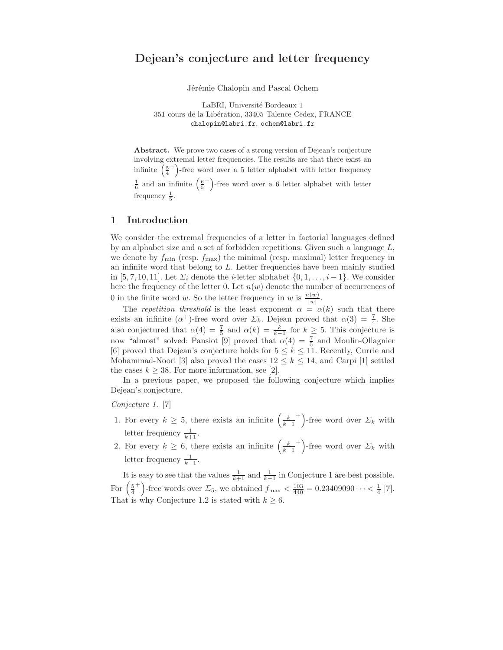# Dejean's conjecture and letter frequency

Jérémie Chalopin and Pascal Ochem

LaBRI, Université Bordeaux 1 351 cours de la Libération, 33405 Talence Cedex, FRANCE chalopin@labri.fr, ochem@labri.fr

Abstract. We prove two cases of a strong version of Dejean's conjecture involving extremal letter frequencies. The results are that there exist an infinite  $\left(\frac{5}{4}\right)$ <sup>+</sup>)-free word over a 5 letter alphabet with letter frequency  $\frac{1}{6}$  and an infinite  $\left(\frac{6}{5}\right)$ <sup>+</sup>)-free word over a 6 letter alphabet with letter frequency  $\frac{1}{5}$ .

#### 1 Introduction

We consider the extremal frequencies of a letter in factorial languages defined by an alphabet size and a set of forbidden repetitions. Given such a language  $L$ , we denote by  $f_{\text{min}}$  (resp.  $f_{\text{max}}$ ) the minimal (resp. maximal) letter frequency in an infinite word that belong to  $L$ . Letter frequencies have been mainly studied in [5, 7, 10, 11]. Let  $\Sigma_i$  denote the *i*-letter alphabet  $\{0, 1, \ldots, i-1\}$ . We consider here the frequency of the letter 0. Let  $n(w)$  denote the number of occurrences of 0 in the finite word w. So the letter frequency in w is  $\frac{n(w)}{|w|}$ .

The repetition threshold is the least exponent  $\alpha = \alpha(k)$  such that there exists an infinite ( $\alpha^+$ )-free word over  $\Sigma_k$ . Dejean proved that  $\alpha(3) = \frac{7}{4}$ . She also conjectured that  $\alpha(4) = \frac{7}{5}$  and  $\alpha(k) = \frac{k}{k-1}$  for  $k \ge 5$ . This conjecture is now "almost" solved: Pansiot [9] proved that  $\alpha(4) = \frac{7}{5}$  and Moulin-Ollagnier [6] proved that Dejean's conjecture holds for  $5 \leq k \leq 11$ . Recently, Currie and Mohammad-Noori [3] also proved the cases  $12 \leq k \leq 14$ , and Carpi [1] settled the cases  $k \geq 38$ . For more information, see [2].

In a previous paper, we proposed the following conjecture which implies Dejean's conjecture.

Conjecture 1. [7]

- 1. For every  $k \geq 5$ , there exists an infinite  $\left(\frac{k}{k-1}\right)$ <sup>+</sup>)-free word over  $\Sigma_k$  with letter frequency  $\frac{1}{k+1}$ .
- 2. For every  $k \geq 6$ , there exists an infinite  $\left(\frac{k}{k-1}\right)$ <sup>+</sup>)-free word over  $\Sigma_k$  with letter frequency  $\frac{1}{k-1}$ .

It is easy to see that the values  $\frac{1}{k+1}$  and  $\frac{1}{k-1}$  in Conjecture 1 are best possible. For  $\left(\frac{5}{4}\right)$ <sup>+</sup>)-free words over  $\Sigma_5$ , we obtained  $f_{\text{max}} < \frac{103}{440} = 0.23409090 \cdots < \frac{1}{4}$  [7]. That is why Conjecture 1.2 is stated with  $k \geq 6$ .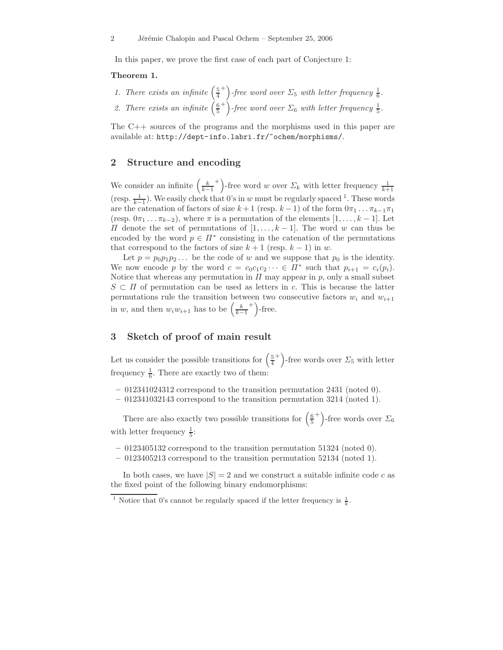In this paper, we prove the first case of each part of Conjecture 1:

#### Theorem 1.

1. There exists an infinite  $\left(\frac{5}{4}\right)$ <sup>+</sup>) -free word over  $\Sigma_5$  with letter frequency  $\frac{1}{6}$ . 2. There exists an infinite  $\left(\frac{6}{5}\right)$ <sup>+</sup>) -free word over  $\Sigma_6$  with letter frequency  $\frac{1}{5}$ .

The C++ sources of the programs and the morphisms used in this paper are available at: http://dept-info.labri.fr/~ochem/morphisms/.

## 2 Structure and encoding

We consider an infinite  $\left(\frac{k}{k-1}\right)$ <sup>+</sup>)-free word w over  $\Sigma_k$  with letter frequency  $\frac{1}{k+1}$ (resp.  $\frac{1}{k-1}$ ). We easily check that 0's in w must be regularly spaced <sup>1</sup>. These words are the catenation of factors of size  $k + 1$  (resp.  $k - 1$ ) of the form  $0\pi_1 \dots \pi_{k-1} \pi_1$ (resp.  $0\pi_1 \ldots \pi_{k-2}$ ), where  $\pi$  is a permutation of the elements  $[1,\ldots,k-1]$ . Let  $\Pi$  denote the set of permutations of  $[1, \ldots, k-1]$ . The word w can thus be encoded by the word  $p \in \Pi^*$  consisting in the catenation of the permutations that correspond to the factors of size  $k + 1$  (resp.  $k - 1$ ) in w.

Let  $p = p_0 p_1 p_2 \ldots$  be the code of w and we suppose that  $p_0$  is the identity. We now encode p by the word  $c = c_0 c_1 c_2 \cdots \in \Pi^*$  such that  $p_{i+1} = c_i(p_i)$ . Notice that whereas any permutation in  $\Pi$  may appear in p, only a small subset  $S \subset \Pi$  of permutation can be used as letters in c. This is because the latter permutations rule the transition between two consecutive factors  $w_i$  and  $w_{i+1}$ in w, and then  $w_i w_{i+1}$  has to be  $\left(\frac{k}{k-1}\right)$  $^{+}$ )-free.

## 3 Sketch of proof of main result

Let us consider the possible transitions for  $\left(\frac{5}{4}\right)$ <sup>+</sup>)-free words over  $\Sigma_5$  with letter frequency  $\frac{1}{6}$ . There are exactly two of them:

- $-012341024312$  correspond to the transition permutation 2431 (noted 0).
- 012341032143 correspond to the transition permutation 3214 (noted 1).

There are also exactly two possible transitions for  $\left(\frac{6}{5}\right)$ <sup>+</sup>)-free words over  $\Sigma_6$ with letter frequency  $\frac{1}{5}$ :

- 0123405132 correspond to the transition permutation 51324 (noted 0).
- 0123405213 correspond to the transition permutation 52134 (noted 1).

In both cases, we have  $|S| = 2$  and we construct a suitable infinite code c as the fixed point of the following binary endomorphisms:

<sup>&</sup>lt;sup>1</sup> Notice that 0's cannot be regularly spaced if the letter frequency is  $\frac{1}{k}$ .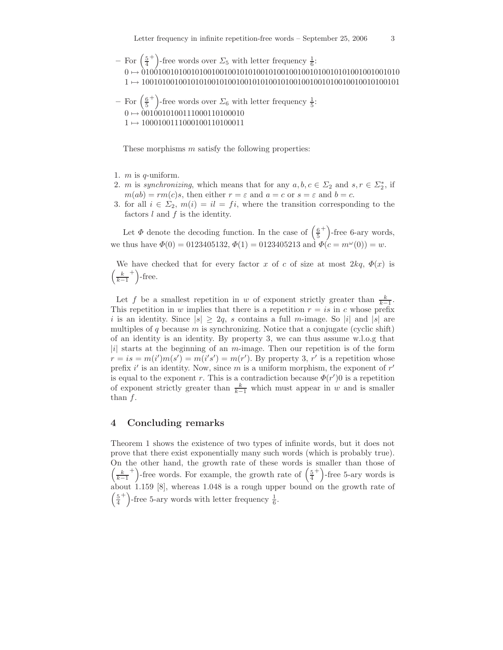– For  $\left(\frac{5}{4}\right)$ <sup>+</sup>)-free words over  $\Sigma_5$  with letter frequency  $\frac{1}{6}$ : 0 7→ 010010010100101001001001010100101001001001010010101001001001010 1 7→ 100101001001010100101001001010100101001001001010010010010100101

\n- For 
$$
\left(\frac{6}{5}^+\right)
$$
-free words over  $\Sigma_6$  with letter frequency  $\frac{1}{5}$ :
\n- 0 → 00100101000111000110100010
\n- 1 → 1000100111000100110100011
\n

These morphisms  $m$  satisfy the following properties:

- 1.  $m$  is  $q$ -uniform.
- 2. *m* is synchronizing, which means that for any  $a, b, c \in \Sigma_2$  and  $s, r \in \Sigma_2^*$ , if  $m(ab) = rm(c)s$ , then either  $r = \varepsilon$  and  $a = c$  or  $s = \varepsilon$  and  $b = c$ .
- 3. for all  $i \in \Sigma_2$ ,  $m(i) = il = fi$ , where the transition corresponding to the factors  $l$  and  $f$  is the identity.

Let  $\Phi$  denote the decoding function. In the case of  $\left(\frac{6}{5}\right)$  $^{+}$ )-free 6-ary words, we thus have  $\Phi(0) = 0123405132, \Phi(1) = 0123405213$  and  $\Phi(c = m^{\omega}(0)) = w$ .

We have checked that for every factor x of c of size at most  $2kq, \Phi(x)$  is  $\left(\frac{k}{k-1}\right)$  $^{+}$ )-free.

Let f be a smallest repetition in w of exponent strictly greater than  $\frac{k}{k-1}$ . This repetition in w implies that there is a repetition  $r = is$  in c whose prefix i is an identity. Since  $|s| \geq 2q$ , s contains a full m-image. So |i| and  $|s|$  are multiples of q because  $m$  is synchronizing. Notice that a conjugate (cyclic shift) of an identity is an identity. By property 3, we can thus assume w.l.o.g that |i| starts at the beginning of an  $m$ -image. Then our repetition is of the form  $r = is = m(i')m(s') = m(i's') = m(r')$ . By property 3, r' is a repetition whose prefix  $i'$  is an identity. Now, since m is a uniform morphism, the exponent of  $r'$ is equal to the exponent r. This is a contradiction because  $\Phi(r')$  is a repetition of exponent strictly greater than  $\frac{k}{k-1}$  which must appear in w and is smaller than  $f$ .

#### 4 Concluding remarks

Theorem 1 shows the existence of two types of infinite words, but it does not prove that there exist exponentially many such words (which is probably true). On the other hand, the growth rate of these words is smaller than those of  $\left(\frac{k}{k-1}\right)$ <sup>+</sup>)-free words. For example, the growth rate of  $\left(\frac{5}{4}\right)$  $^{+}$ )-free 5-ary words is about 1.159 [8], whereas 1.048 is a rough upper bound on the growth rate of  $\frac{5}{4}$ <sup>+</sup>)-free 5-ary words with letter frequency  $\frac{1}{6}$ .